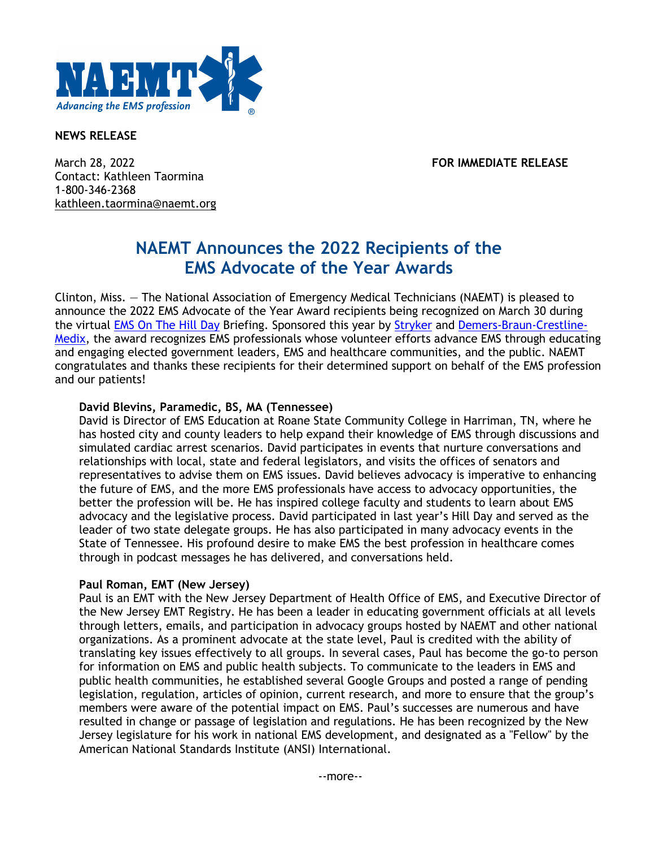

### **NEWS RELEASE**

March 28, 2022 **FOR IMMEDIATE RELEASE** Contact: Kathleen Taormina 1-800-346-2368 kathleen.taormina@naemt.org

# **NAEMT Announces the 2022 Recipients of the EMS Advocate of the Year Awards**

Clinton, Miss. — The National Association of Emergency Medical Technicians (NAEMT) is pleased to announce the 2022 EMS Advocate of the Year Award recipients being recognized on March 30 during the virtual EMS On The Hill Day Briefing. Sponsored this year by Stryker and Demers-Braun-Crestline-Medix, the award recognizes EMS professionals whose volunteer efforts advance EMS through educating and engaging elected government leaders, EMS and healthcare communities, and the public. NAEMT congratulates and thanks these recipients for their determined support on behalf of the EMS profession and our patients!

### **David Blevins, Paramedic, BS, MA (Tennessee)**

David is Director of EMS Education at Roane State Community College in Harriman, TN, where he has hosted city and county leaders to help expand their knowledge of EMS through discussions and simulated cardiac arrest scenarios. David participates in events that nurture conversations and relationships with local, state and federal legislators, and visits the offices of senators and representatives to advise them on EMS issues. David believes advocacy is imperative to enhancing the future of EMS, and the more EMS professionals have access to advocacy opportunities, the better the profession will be. He has inspired college faculty and students to learn about EMS advocacy and the legislative process. David participated in last year's Hill Day and served as the leader of two state delegate groups. He has also participated in many advocacy events in the State of Tennessee. His profound desire to make EMS the best profession in healthcare comes through in podcast messages he has delivered, and conversations held.

### **Paul Roman, EMT (New Jersey)**

Paul is an EMT with the New Jersey Department of Health Office of EMS, and Executive Director of the New Jersey EMT Registry. He has been a leader in educating government officials at all levels through letters, emails, and participation in advocacy groups hosted by NAEMT and other national organizations. As a prominent advocate at the state level, Paul is credited with the ability of translating key issues effectively to all groups. In several cases, Paul has become the go-to person for information on EMS and public health subjects. To communicate to the leaders in EMS and public health communities, he established several Google Groups and posted a range of pending legislation, regulation, articles of opinion, current research, and more to ensure that the group's members were aware of the potential impact on EMS. Paul's successes are numerous and have resulted in change or passage of legislation and regulations. He has been recognized by the New Jersey legislature for his work in national EMS development, and designated as a "Fellow" by the American National Standards Institute (ANSI) International.